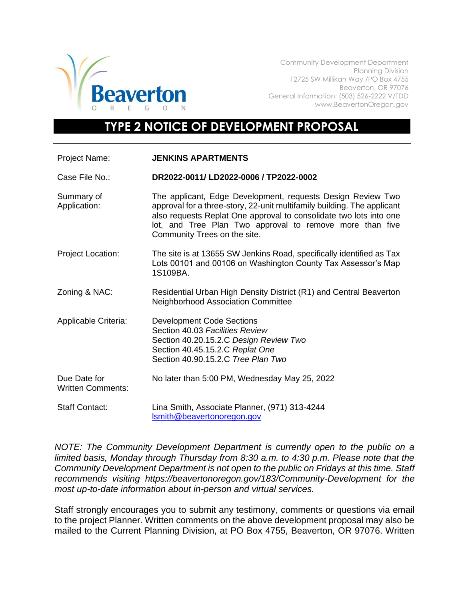

Community Development Department Planning Division 12725 SW Millikan Way /PO Box 4755 Beaverton, OR 97076 General Information: (503) 526-2222 V/TDD www.BeavertonOregon.gov

## **TYPE 2 NOTICE OF DEVELOPMENT PROPOSAL**

| Project Name:                            | <b>JENKINS APARTMENTS</b>                                                                                                                                                                                                                                                                                |
|------------------------------------------|----------------------------------------------------------------------------------------------------------------------------------------------------------------------------------------------------------------------------------------------------------------------------------------------------------|
| Case File No.:                           | DR2022-0011/LD2022-0006 / TP2022-0002                                                                                                                                                                                                                                                                    |
| Summary of<br>Application:               | The applicant, Edge Development, requests Design Review Two<br>approval for a three-story, 22-unit multifamily building. The applicant<br>also requests Replat One approval to consolidate two lots into one<br>lot, and Tree Plan Two approval to remove more than five<br>Community Trees on the site. |
| <b>Project Location:</b>                 | The site is at 13655 SW Jenkins Road, specifically identified as Tax<br>Lots 00101 and 00106 on Washington County Tax Assessor's Map<br>1S109BA.                                                                                                                                                         |
| Zoning & NAC:                            | Residential Urban High Density District (R1) and Central Beaverton<br><b>Neighborhood Association Committee</b>                                                                                                                                                                                          |
| Applicable Criteria:                     | <b>Development Code Sections</b><br>Section 40.03 Facilities Review<br>Section 40.20.15.2.C Design Review Two<br>Section 40.45.15.2.C Replat One<br>Section 40.90.15.2.C Tree Plan Two                                                                                                                   |
| Due Date for<br><b>Written Comments:</b> | No later than 5:00 PM, Wednesday May 25, 2022                                                                                                                                                                                                                                                            |
| <b>Staff Contact:</b>                    | Lina Smith, Associate Planner, (971) 313-4244<br>Ismith@beavertonoregon.gov                                                                                                                                                                                                                              |

*NOTE: The Community Development Department is currently open to the public on a limited basis, Monday through Thursday from 8:30 a.m. to 4:30 p.m. Please note that the Community Development Department is not open to the public on Fridays at this time. Staff recommends visiting https://beavertonoregon.gov/183/Community-Development for the most up-to-date information about in-person and virtual services.*

Staff strongly encourages you to submit any testimony, comments or questions via email to the project Planner. Written comments on the above development proposal may also be mailed to the Current Planning Division, at PO Box 4755, Beaverton, OR 97076. Written